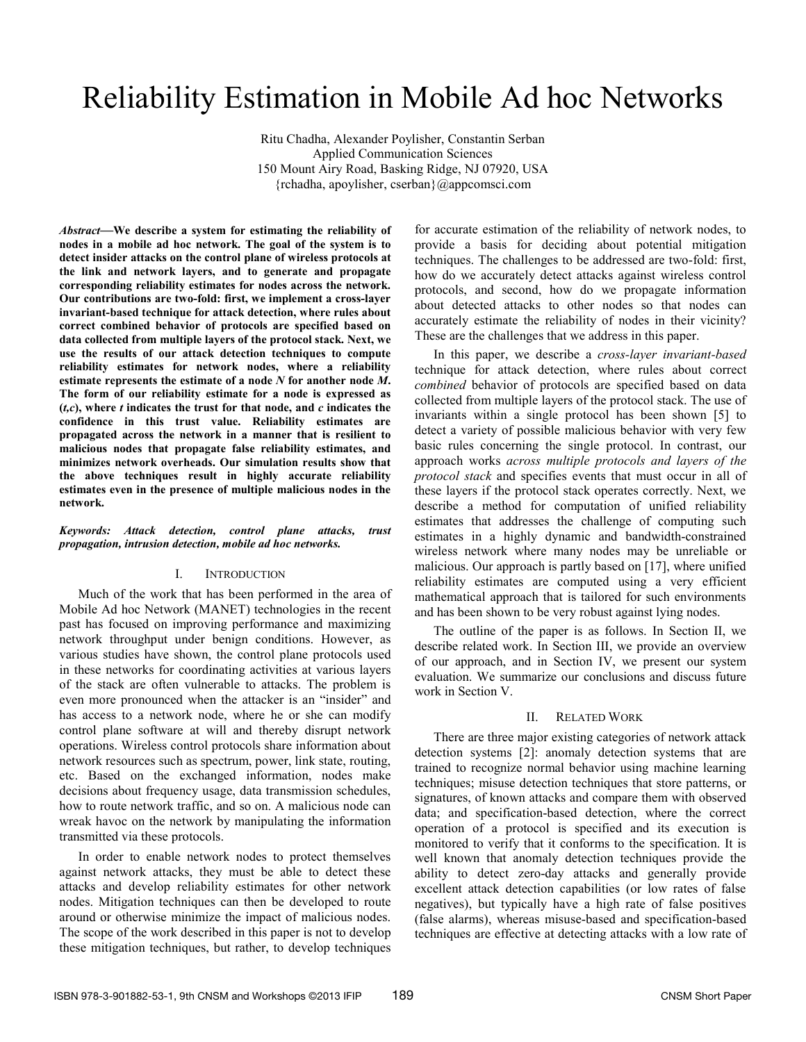# Reliability Estimation in Mobile Ad hoc Networks

Ritu Chadha, Alexander Poylisher, Constantin Serban Applied Communication Sciences 150 Mount Airy Road, Basking Ridge, NJ 07920, USA {rchadha, apoylisher, cserban}@appcomsci.com

*Abstract***—We describe a system for estimating the reliability of nodes in a mobile ad hoc network. The goal of the system is to detect insider attacks on the control plane of wireless protocols at the link and network layers, and to generate and propagate corresponding reliability estimates for nodes across the network. Our contributions are two-fold: first, we implement a cross-layer invariant-based technique for attack detection, where rules about correct combined behavior of protocols are specified based on data collected from multiple layers of the protocol stack. Next, we use the results of our attack detection techniques to compute reliability estimates for network nodes, where a reliability estimate represents the estimate of a node** *N* **for another node** *M***. The form of our reliability estimate for a node is expressed as (***t,c***), where** *t* **indicates the trust for that node, and** *c* **indicates the confidence in this trust value. Reliability estimates are propagated across the network in a manner that is resilient to malicious nodes that propagate false reliability estimates, and minimizes network overheads. Our simulation results show that the above techniques result in highly accurate reliability estimates even in the presence of multiple malicious nodes in the network.** 

### *Keywords: Attack detection, control plane attacks, trust propagation, intrusion detection, mobile ad hoc networks.*

### I. INTRODUCTION

Much of the work that has been performed in the area of Mobile Ad hoc Network (MANET) technologies in the recent past has focused on improving performance and maximizing network throughput under benign conditions. However, as various studies have shown, the control plane protocols used in these networks for coordinating activities at various layers of the stack are often vulnerable to attacks. The problem is even more pronounced when the attacker is an "insider" and has access to a network node, where he or she can modify control plane software at will and thereby disrupt network operations. Wireless control protocols share information about network resources such as spectrum, power, link state, routing, etc. Based on the exchanged information, nodes make decisions about frequency usage, data transmission schedules, how to route network traffic, and so on. A malicious node can wreak havoc on the network by manipulating the information transmitted via these protocols.

In order to enable network nodes to protect themselves against network attacks, they must be able to detect these attacks and develop reliability estimates for other network nodes. Mitigation techniques can then be developed to route around or otherwise minimize the impact of malicious nodes. The scope of the work described in this paper is not to develop these mitigation techniques, but rather, to develop techniques for accurate estimation of the reliability of network nodes, to provide a basis for deciding about potential mitigation techniques. The challenges to be addressed are two-fold: first, how do we accurately detect attacks against wireless control protocols, and second, how do we propagate information about detected attacks to other nodes so that nodes can accurately estimate the reliability of nodes in their vicinity? These are the challenges that we address in this paper.

In this paper, we describe a *cross-layer invariant-based* technique for attack detection, where rules about correct *combined* behavior of protocols are specified based on data collected from multiple layers of the protocol stack. The use of invariants within a single protocol has been shown [5] to detect a variety of possible malicious behavior with very few basic rules concerning the single protocol. In contrast, our approach works *across multiple protocols and layers of the protocol stack* and specifies events that must occur in all of these layers if the protocol stack operates correctly. Next, we describe a method for computation of unified reliability estimates that addresses the challenge of computing such estimates in a highly dynamic and bandwidth-constrained wireless network where many nodes may be unreliable or malicious. Our approach is partly based on [17], where unified reliability estimates are computed using a very efficient mathematical approach that is tailored for such environments and has been shown to be very robust against lying nodes.

The outline of the paper is as follows. In Section II, we describe related work. In Section III, we provide an overview of our approach, and in Section IV, we present our system evaluation. We summarize our conclusions and discuss future work in Section V.

## II. RELATED WORK

There are three major existing categories of network attack detection systems [2]: anomaly detection systems that are trained to recognize normal behavior using machine learning techniques; misuse detection techniques that store patterns, or signatures, of known attacks and compare them with observed data; and specification-based detection, where the correct operation of a protocol is specified and its execution is monitored to verify that it conforms to the specification. It is well known that anomaly detection techniques provide the ability to detect zero-day attacks and generally provide excellent attack detection capabilities (or low rates of false negatives), but typically have a high rate of false positives (false alarms), whereas misuse-based and specification-based techniques are effective at detecting attacks with a low rate of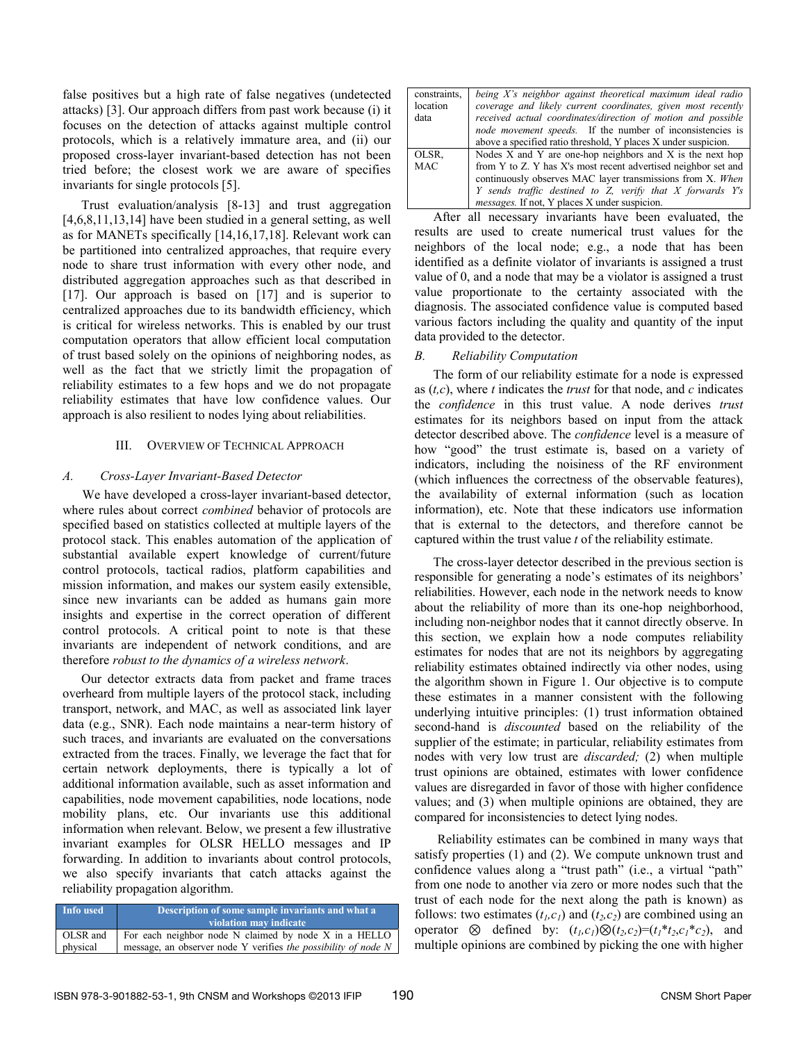false positives but a high rate of false negatives (undetected attacks) [3]. Our approach differs from past work because (i) it focuses on the detection of attacks against multiple control protocols, which is a relatively immature area, and (ii) our proposed cross-layer invariant-based detection has not been tried before; the closest work we are aware of specifies invariants for single protocols [5].

Trust evaluation/analysis [8-13] and trust aggregation [4,6,8,11,13,14] have been studied in a general setting, as well as for MANETs specifically [14,16,17,18]. Relevant work can be partitioned into centralized approaches, that require every node to share trust information with every other node, and distributed aggregation approaches such as that described in [17]. Our approach is based on [17] and is superior to centralized approaches due to its bandwidth efficiency, which is critical for wireless networks. This is enabled by our trust computation operators that allow efficient local computation of trust based solely on the opinions of neighboring nodes, as well as the fact that we strictly limit the propagation of reliability estimates to a few hops and we do not propagate reliability estimates that have low confidence values. Our approach is also resilient to nodes lying about reliabilities.

#### III. OVERVIEW OF TECHNICAL APPROACH

#### *A. Cross-Layer Invariant-Based Detector*

 We have developed a cross-layer invariant-based detector, where rules about correct *combined* behavior of protocols are specified based on statistics collected at multiple layers of the protocol stack. This enables automation of the application of substantial available expert knowledge of current/future control protocols, tactical radios, platform capabilities and mission information, and makes our system easily extensible, since new invariants can be added as humans gain more insights and expertise in the correct operation of different control protocols. A critical point to note is that these invariants are independent of network conditions, and are therefore *robust to the dynamics of a wireless network*.

Our detector extracts data from packet and frame traces overheard from multiple layers of the protocol stack, including transport, network, and MAC, as well as associated link layer data (e.g., SNR). Each node maintains a near-term history of such traces, and invariants are evaluated on the conversations extracted from the traces. Finally, we leverage the fact that for certain network deployments, there is typically a lot of additional information available, such as asset information and capabilities, node movement capabilities, node locations, node mobility plans, etc. Our invariants use this additional information when relevant. Below, we present a few illustrative invariant examples for OLSR HELLO messages and IP forwarding. In addition to invariants about control protocols, we also specify invariants that catch attacks against the reliability propagation algorithm.

| Info used | Description of some sample invariants and what a               |
|-----------|----------------------------------------------------------------|
|           | violation may indicate                                         |
| OLSR and  | For each neighbor node N claimed by node X in a HELLO          |
| physical  | message, an observer node Y verifies the possibility of node N |

| constraints. | being X's neighbor against theoretical maximum ideal radio      |
|--------------|-----------------------------------------------------------------|
| location     | coverage and likely current coordinates, given most recently    |
| data         | received actual coordinates/direction of motion and possible    |
|              | node movement speeds. If the number of inconsistencies is       |
|              | above a specified ratio threshold, Y places X under suspicion.  |
| OLSR.        | Nodes $X$ and $Y$ are one-hop neighbors and $X$ is the next hop |
| <b>MAC</b>   | from Y to Z. Y has X's most recent advertised neighbor set and  |
|              | continuously observes MAC layer transmissions from X. When      |
|              | Y sends traffic destined to Z, verify that X forwards Y's       |
|              | <i>messages.</i> If not, Y places X under suspicion.            |

After all necessary invariants have been evaluated, the results are used to create numerical trust values for the neighbors of the local node; e.g., a node that has been identified as a definite violator of invariants is assigned a trust value of 0, and a node that may be a violator is assigned a trust value proportionate to the certainty associated with the diagnosis. The associated confidence value is computed based various factors including the quality and quantity of the input data provided to the detector.

#### *B. Reliability Computation*

The form of our reliability estimate for a node is expressed as (*t,c*), where *t* indicates the *trust* for that node, and *c* indicates the *confidence* in this trust value. A node derives *trust* estimates for its neighbors based on input from the attack detector described above. The *confidence* level is a measure of how "good" the trust estimate is, based on a variety of indicators, including the noisiness of the RF environment (which influences the correctness of the observable features), the availability of external information (such as location information), etc. Note that these indicators use information that is external to the detectors, and therefore cannot be captured within the trust value *t* of the reliability estimate.

The cross-layer detector described in the previous section is responsible for generating a node's estimates of its neighbors' reliabilities. However, each node in the network needs to know about the reliability of more than its one-hop neighborhood, including non-neighbor nodes that it cannot directly observe. In this section, we explain how a node computes reliability estimates for nodes that are not its neighbors by aggregating reliability estimates obtained indirectly via other nodes, using the algorithm shown in Figure 1. Our objective is to compute these estimates in a manner consistent with the following underlying intuitive principles: (1) trust information obtained second-hand is *discounted* based on the reliability of the supplier of the estimate; in particular, reliability estimates from nodes with very low trust are *discarded;* (2) when multiple trust opinions are obtained, estimates with lower confidence values are disregarded in favor of those with higher confidence values; and (3) when multiple opinions are obtained, they are compared for inconsistencies to detect lying nodes.

 Reliability estimates can be combined in many ways that satisfy properties (1) and (2). We compute unknown trust and confidence values along a "trust path" (i.e., a virtual "path" from one node to another via zero or more nodes such that the trust of each node for the next along the path is known) as follows: two estimates  $(t_l, c_l)$  and  $(t_2, c_2)$  are combined using an operator ⊗ defined by:  $(t_1, c_1) \otimes (t_2, c_2) = (t_1 * t_2, c_1 * c_2)$ , and multiple opinions are combined by picking the one with higher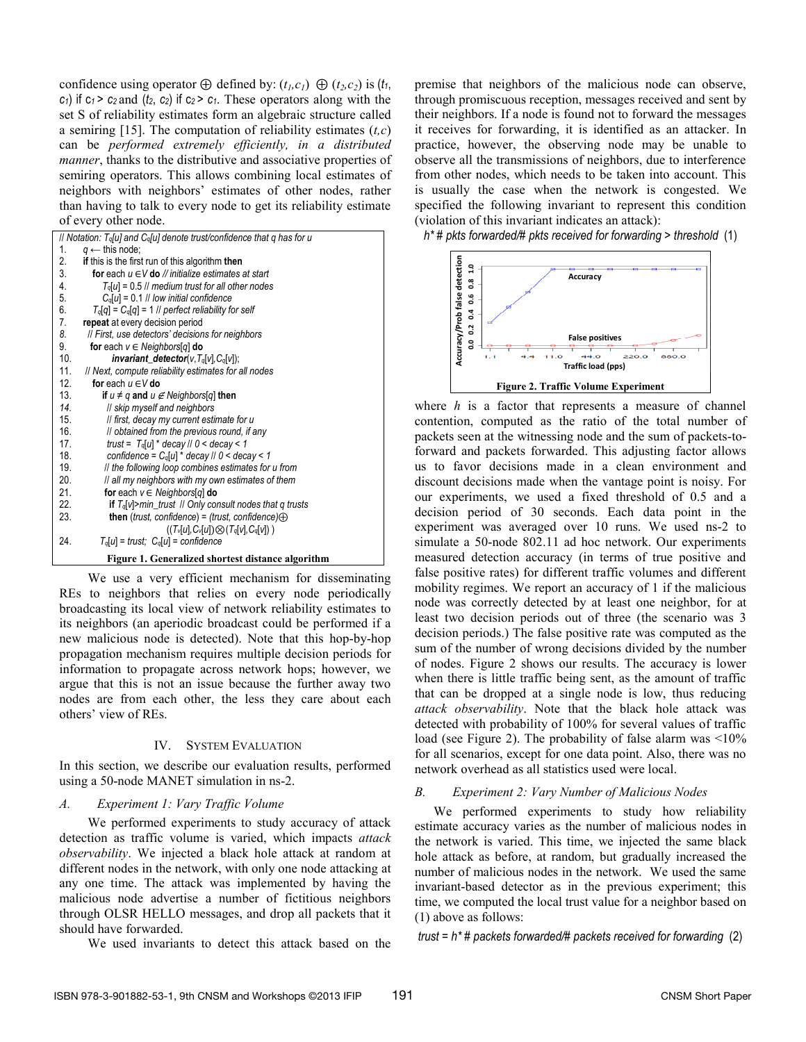confidence using operator  $\oplus$  defined by:  $(t_1, c_1) \oplus (t_2, c_2)$  is  $(t_1, t_2)$ *c1*) if c*1 > c2* and (*t2*, *c2*) if c*2 > c1*. These operators along with the set S of reliability estimates form an algebraic structure called a semiring  $[15]$ . The computation of reliability estimates  $(t, c)$ can be *performed extremely efficiently, in a distributed manner*, thanks to the distributive and associative properties of semiring operators. This allows combining local estimates of neighbors with neighbors' estimates of other nodes, rather than having to talk to every node to get its reliability estimate of every other node.

| // Notation: T <sub>q[u]</sub> and C <sub>q[u]</sub> denote trust/confidence that q has for u |  |  |
|-----------------------------------------------------------------------------------------------|--|--|
| 1.<br>$q \leftarrow$ this node;                                                               |  |  |
| 2.<br>if this is the first run of this algorithm then                                         |  |  |
| 3.<br>for each $u \in V$ do // initialize estimates at start                                  |  |  |
| 4.<br>$T_q[u] = 0.5$ // medium trust for all other nodes                                      |  |  |
| 5.<br>$C_q[u] = 0.1$ // low initial confidence                                                |  |  |
| 6.<br>$T_q[q] = C_q[q] = 1$ // perfect reliability for self                                   |  |  |
| 7.<br>repeat at every decision period                                                         |  |  |
| 8.<br>Il First, use detectors' decisions for neighbors                                        |  |  |
| for each $v \in Neighbors[q]$ do<br>9.                                                        |  |  |
| 10.<br><i>invariant_detector(v,T<sub>q</sub>[v],C<sub>q</sub>[v]);</i>                        |  |  |
| 11.<br>Il Next, compute reliability estimates for all nodes                                   |  |  |
| 12.<br>for each $u \in V$ do                                                                  |  |  |
| 13.<br>if $u \neq q$ and $u \not\in$ Neighbors[q] then                                        |  |  |
| 14.<br>Il skip myself and neighbors                                                           |  |  |
| 15.<br>Il first, decay my current estimate for u                                              |  |  |
| Il obtained from the previous round, if any<br>16.                                            |  |  |
| trust = $T_q[u]^*$ decay // 0 < decay < 1<br>17.                                              |  |  |
| 18.<br>confidence = $C_q[u]^*$ decay // 0 < decay < 1                                         |  |  |
| 19.<br>Il the following loop combines estimates for u from                                    |  |  |
| 20.<br>II all my neighbors with my own estimates of them                                      |  |  |
| 21.<br>for each $v \in Neighbors[q]$ do                                                       |  |  |
| 22.<br><b>if</b> $T_q[v] > min\_trust$ // Only consult nodes that q trusts                    |  |  |
| 23.<br>then (trust, confidence) = (trust, confidence) $\oplus$                                |  |  |
| $((T_v[u], C_v[u]) \otimes (T_q[v], C_q[v]))$                                                 |  |  |
| $T_q[u]$ = trust; $C_q[u]$ = confidence<br>24.                                                |  |  |
| Figure 1. Generalized shortest distance algorithm                                             |  |  |

We use a very efficient mechanism for disseminating REs to neighbors that relies on every node periodically broadcasting its local view of network reliability estimates to its neighbors (an aperiodic broadcast could be performed if a new malicious node is detected). Note that this hop-by-hop propagation mechanism requires multiple decision periods for information to propagate across network hops; however, we argue that this is not an issue because the further away two nodes are from each other, the less they care about each others' view of REs.

### IV. SYSTEM EVALUATION

In this section, we describe our evaluation results, performed using a 50-node MANET simulation in ns-2.

#### *A. Experiment 1: Vary Traffic Volume*

We performed experiments to study accuracy of attack detection as traffic volume is varied, which impacts *attack observability*. We injected a black hole attack at random at different nodes in the network, with only one node attacking at any one time. The attack was implemented by having the malicious node advertise a number of fictitious neighbors through OLSR HELLO messages, and drop all packets that it should have forwarded.

We used invariants to detect this attack based on the

premise that neighbors of the malicious node can observe, through promiscuous reception, messages received and sent by their neighbors. If a node is found not to forward the messages it receives for forwarding, it is identified as an attacker. In practice, however, the observing node may be unable to observe all the transmissions of neighbors, due to interference from other nodes, which needs to be taken into account. This is usually the case when the network is congested. We specified the following invariant to represent this condition (violation of this invariant indicates an attack):

*h\* # pkts forwarded/# pkts received for forwarding > threshold* (1)



where *h* is a factor that represents a measure of channel contention, computed as the ratio of the total number of packets seen at the witnessing node and the sum of packets-toforward and packets forwarded. This adjusting factor allows us to favor decisions made in a clean environment and discount decisions made when the vantage point is noisy. For our experiments, we used a fixed threshold of 0.5 and a decision period of 30 seconds. Each data point in the experiment was averaged over 10 runs. We used ns-2 to simulate a 50-node 802.11 ad hoc network. Our experiments measured detection accuracy (in terms of true positive and false positive rates) for different traffic volumes and different mobility regimes. We report an accuracy of 1 if the malicious node was correctly detected by at least one neighbor, for at least two decision periods out of three (the scenario was 3 decision periods.) The false positive rate was computed as the sum of the number of wrong decisions divided by the number of nodes. Figure 2 shows our results. The accuracy is lower when there is little traffic being sent, as the amount of traffic that can be dropped at a single node is low, thus reducing *attack observability*. Note that the black hole attack was detected with probability of 100% for several values of traffic load (see Figure 2). The probability of false alarm was <10% for all scenarios, except for one data point. Also, there was no network overhead as all statistics used were local.

### *B. Experiment 2: Vary Number of Malicious Nodes*

We performed experiments to study how reliability estimate accuracy varies as the number of malicious nodes in the network is varied. This time, we injected the same black hole attack as before, at random, but gradually increased the number of malicious nodes in the network. We used the same invariant-based detector as in the previous experiment; this time, we computed the local trust value for a neighbor based on (1) above as follows:

*trust = h\* # packets forwarded/# packets received for forwarding* (2)